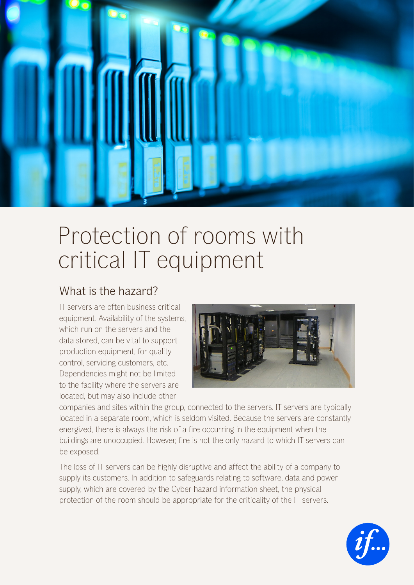

## Protection of rooms with critical IT equipment

## What is the hazard?

IT servers are often business critical equipment. Availability of the systems, which run on the servers and the data stored, can be vital to support production equipment, for quality control, servicing customers, etc. Dependencies might not be limited to the facility where the servers are located, but may also include other



companies and sites within the group, connected to the servers. IT servers are typically located in a separate room, which is seldom visited. Because the servers are constantly energized, there is always the risk of a fire occurring in the equipment when the buildings are unoccupied. However, fire is not the only hazard to which IT servers can be exposed.

The loss of IT servers can be highly disruptive and affect the ability of a company to supply its customers. In addition to safeguards relating to software, data and power supply, which are covered by the Cyber hazard information sheet, the physical protection of the room should be appropriate for the criticality of the IT servers.

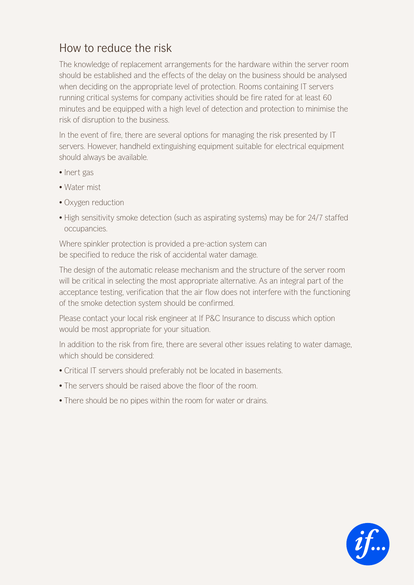## How to reduce the risk

The knowledge of replacement arrangements for the hardware within the server room should be established and the effects of the delay on the business should be analysed when deciding on the appropriate level of protection. Rooms containing IT servers running critical systems for company activities should be fire rated for at least 60 minutes and be equipped with a high level of detection and protection to minimise the risk of disruption to the business.

In the event of fire, there are several options for managing the risk presented by IT servers. However, handheld extinguishing equipment suitable for electrical equipment should always be available.

- Inert gas
- Water mist
- Oxygen reduction
- High sensitivity smoke detection (such as aspirating systems) may be for 24/7 staffed occupancies.

Where spinkler protection is provided a pre-action system can be specified to reduce the risk of accidental water damage.

The design of the automatic release mechanism and the structure of the server room will be critical in selecting the most appropriate alternative. As an integral part of the acceptance testing, verification that the air flow does not interfere with the functioning of the smoke detection system should be confirmed.

Please contact your local risk engineer at If P&C Insurance to discuss which option would be most appropriate for your situation.

In addition to the risk from fire, there are several other issues relating to water damage, which should be considered:

- Critical IT servers should preferably not be located in basements.
- The servers should be raised above the floor of the room.
- There should be no pipes within the room for water or drains.